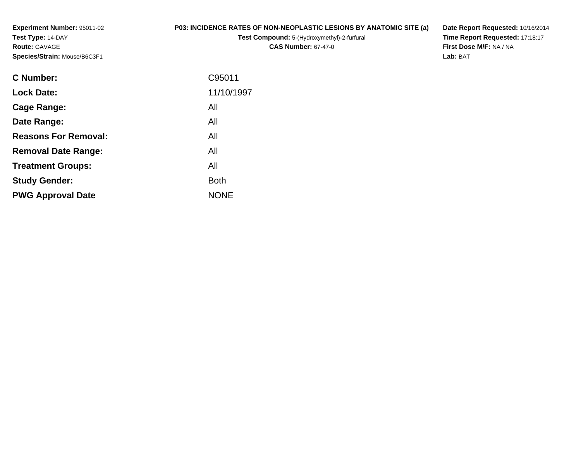**Experiment Number:** 95011-02**Test Type:** 14-DAY**Route:** GAVAGE**Species/Strain:** Mouse/B6C3F1

## **P03: INCIDENCE RATES OF NON-NEOPLASTIC LESIONS BY ANATOMIC SITE (a)**

**Test Compound:** 5-(Hydroxymethyl)-2-furfural **CAS Number:** 67-47-0

**Date Report Requested:** 10/16/2014 **Time Report Requested:** 17:18:17**First Dose M/F:** NA / NA**Lab:** BAT

| <b>Lock Date:</b><br>All<br>Cage Range:<br>All<br>Date Range:<br><b>Reasons For Removal:</b><br>All<br>All<br><b>Removal Date Range:</b><br>All<br><b>Treatment Groups:</b><br><b>Study Gender:</b><br><b>Both</b><br><b>NONE</b><br><b>PWG Approval Date</b> | <b>C</b> Number: | C95011     |
|---------------------------------------------------------------------------------------------------------------------------------------------------------------------------------------------------------------------------------------------------------------|------------------|------------|
|                                                                                                                                                                                                                                                               |                  | 11/10/1997 |
|                                                                                                                                                                                                                                                               |                  |            |
|                                                                                                                                                                                                                                                               |                  |            |
|                                                                                                                                                                                                                                                               |                  |            |
|                                                                                                                                                                                                                                                               |                  |            |
|                                                                                                                                                                                                                                                               |                  |            |
|                                                                                                                                                                                                                                                               |                  |            |
|                                                                                                                                                                                                                                                               |                  |            |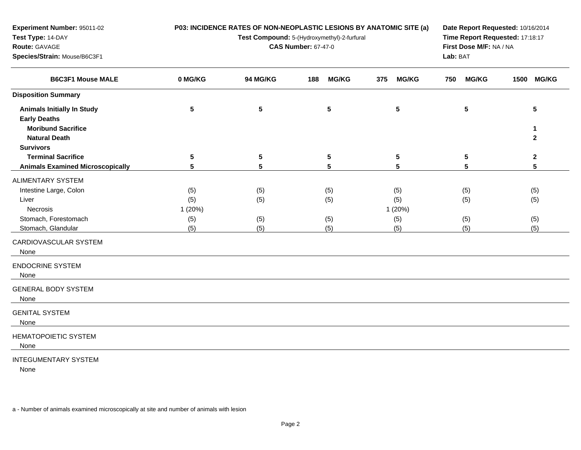| Experiment Number: 95011-02                                                                                   |                       | P03: INCIDENCE RATES OF NON-NEOPLASTIC LESIONS BY ANATOMIC SITE (a)       | Date Report Requested: 10/16/2014<br>Time Report Requested: 17:18:17<br>First Dose M/F: NA / NA<br>Lab: BAT |                      |                     |                                                 |
|---------------------------------------------------------------------------------------------------------------|-----------------------|---------------------------------------------------------------------------|-------------------------------------------------------------------------------------------------------------|----------------------|---------------------|-------------------------------------------------|
| Test Type: 14-DAY<br>Route: GAVAGE<br>Species/Strain: Mouse/B6C3F1                                            |                       | Test Compound: 5-(Hydroxymethyl)-2-furfural<br><b>CAS Number: 67-47-0</b> |                                                                                                             |                      |                     |                                                 |
| <b>B6C3F1 Mouse MALE</b>                                                                                      | 0 MG/KG               | 94 MG/KG                                                                  | <b>MG/KG</b><br>188                                                                                         | <b>MG/KG</b><br>375  | <b>MG/KG</b><br>750 | 1500 MG/KG                                      |
| <b>Disposition Summary</b>                                                                                    |                       |                                                                           |                                                                                                             |                      |                     |                                                 |
| <b>Animals Initially In Study</b><br><b>Early Deaths</b><br><b>Moribund Sacrifice</b><br><b>Natural Death</b> | $5\phantom{.0}$       | $5\phantom{a}$                                                            | $5\phantom{a}$                                                                                              | 5                    | $5\phantom{a}$      | $5\phantom{.0}$<br>$\mathbf{1}$<br>$\mathbf{2}$ |
| <b>Survivors</b>                                                                                              |                       |                                                                           |                                                                                                             |                      |                     |                                                 |
| <b>Terminal Sacrifice</b><br><b>Animals Examined Microscopically</b>                                          | 5<br>5                | 5<br>5                                                                    | $\overline{\mathbf{5}}$<br>5                                                                                | 5<br>5               | 5<br>5              | $\mathbf{2}$<br>5                               |
| ALIMENTARY SYSTEM                                                                                             |                       |                                                                           |                                                                                                             |                      |                     |                                                 |
| Intestine Large, Colon<br>Liver<br><b>Necrosis</b>                                                            | (5)<br>(5)<br>1 (20%) | (5)<br>(5)                                                                | (5)<br>(5)                                                                                                  | (5)<br>(5)<br>1(20%) | (5)<br>(5)          | (5)<br>(5)                                      |
| Stomach, Forestomach<br>Stomach, Glandular                                                                    | (5)<br>(5)            | (5)<br>(5)                                                                | (5)<br>(5)                                                                                                  | (5)<br>(5)           | (5)<br>(5)          | (5)<br>(5)                                      |
| CARDIOVASCULAR SYSTEM<br>None                                                                                 |                       |                                                                           |                                                                                                             |                      |                     |                                                 |
| <b>ENDOCRINE SYSTEM</b><br>None                                                                               |                       |                                                                           |                                                                                                             |                      |                     |                                                 |
| <b>GENERAL BODY SYSTEM</b><br>None                                                                            |                       |                                                                           |                                                                                                             |                      |                     |                                                 |
| <b>GENITAL SYSTEM</b><br>None                                                                                 |                       |                                                                           |                                                                                                             |                      |                     |                                                 |
| <b>HEMATOPOIETIC SYSTEM</b><br>None                                                                           |                       |                                                                           |                                                                                                             |                      |                     |                                                 |
| <b>INTEGUMENTARY SYSTEM</b><br>None                                                                           |                       |                                                                           |                                                                                                             |                      |                     |                                                 |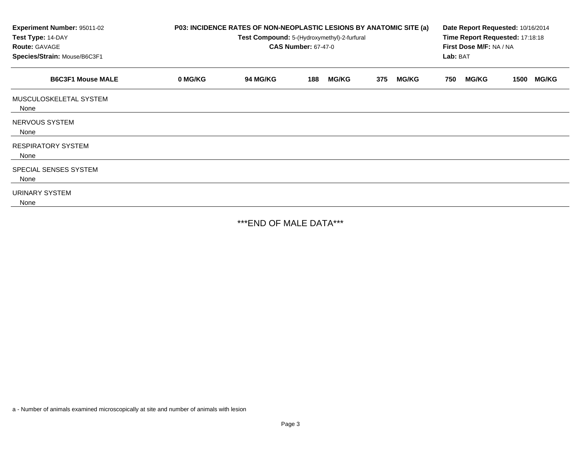| Experiment Number: 95011-02<br>Test Type: 14-DAY<br><b>Route: GAVAGE</b><br>Species/Strain: Mouse/B6C3F1 | P03: INCIDENCE RATES OF NON-NEOPLASTIC LESIONS BY ANATOMIC SITE (a)<br>Test Compound: 5-(Hydroxymethyl)-2-furfural<br><b>CAS Number: 67-47-0</b> |                 |     |              |     |              | Date Report Requested: 10/16/2014<br>Time Report Requested: 17:18:18<br>First Dose M/F: NA / NA<br>Lab: BAT |              |      |              |
|----------------------------------------------------------------------------------------------------------|--------------------------------------------------------------------------------------------------------------------------------------------------|-----------------|-----|--------------|-----|--------------|-------------------------------------------------------------------------------------------------------------|--------------|------|--------------|
| <b>B6C3F1 Mouse MALE</b>                                                                                 | 0 MG/KG                                                                                                                                          | <b>94 MG/KG</b> | 188 | <b>MG/KG</b> | 375 | <b>MG/KG</b> | 750                                                                                                         | <b>MG/KG</b> | 1500 | <b>MG/KG</b> |
| MUSCULOSKELETAL SYSTEM<br>None                                                                           |                                                                                                                                                  |                 |     |              |     |              |                                                                                                             |              |      |              |
| NERVOUS SYSTEM<br>None                                                                                   |                                                                                                                                                  |                 |     |              |     |              |                                                                                                             |              |      |              |
| <b>RESPIRATORY SYSTEM</b><br>None                                                                        |                                                                                                                                                  |                 |     |              |     |              |                                                                                                             |              |      |              |
| SPECIAL SENSES SYSTEM<br>None                                                                            |                                                                                                                                                  |                 |     |              |     |              |                                                                                                             |              |      |              |
| URINARY SYSTEM<br>None                                                                                   |                                                                                                                                                  |                 |     |              |     |              |                                                                                                             |              |      |              |

\*\*\*END OF MALE DATA\*\*\*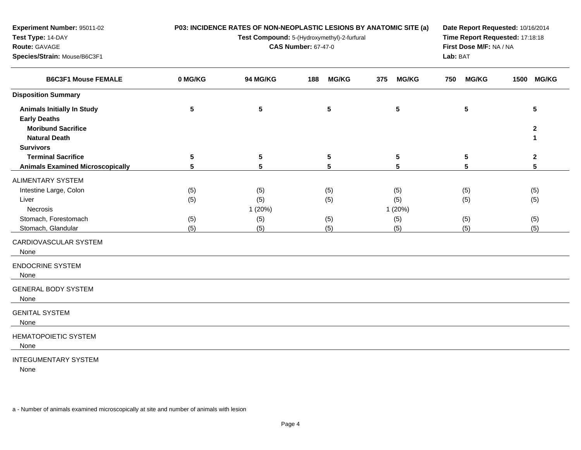| Experiment Number: 95011-02<br>Test Type: 14-DAY<br>Route: GAVAGE<br>Species/Strain: Mouse/B6C3F1                     |                          | P03: INCIDENCE RATES OF NON-NEOPLASTIC LESIONS BY ANATOMIC SITE (a)<br>Test Compound: 5-(Hydroxymethyl)-2-furfural<br><b>CAS Number: 67-47-0</b> | Date Report Requested: 10/16/2014<br>Time Report Requested: 17:18:18<br>First Dose M/F: NA / NA<br>Lab: BAT |                                     |                          |                          |
|-----------------------------------------------------------------------------------------------------------------------|--------------------------|--------------------------------------------------------------------------------------------------------------------------------------------------|-------------------------------------------------------------------------------------------------------------|-------------------------------------|--------------------------|--------------------------|
| <b>B6C3F1 Mouse FEMALE</b>                                                                                            | 0 MG/KG                  | 94 MG/KG                                                                                                                                         | <b>MG/KG</b><br>188                                                                                         | 375<br><b>MG/KG</b>                 | <b>MG/KG</b><br>750      | 1500 MG/KG               |
| <b>Disposition Summary</b>                                                                                            |                          |                                                                                                                                                  |                                                                                                             |                                     |                          |                          |
| <b>Animals Initially In Study</b><br><b>Early Deaths</b><br><b>Moribund Sacrifice</b><br><b>Natural Death</b>         | ${\bf 5}$                | ${\bf 5}$                                                                                                                                        | ${\bf 5}$                                                                                                   | ${\bf 5}$                           | ${\bf 5}$                | 5<br>$\mathbf{2}$<br>1   |
| <b>Survivors</b>                                                                                                      |                          |                                                                                                                                                  |                                                                                                             |                                     |                          |                          |
| <b>Terminal Sacrifice</b>                                                                                             | 5                        | $5\phantom{.0}$                                                                                                                                  | ${\bf 5}$                                                                                                   | ${\bf 5}$                           | 5                        | $\mathbf{2}$             |
| <b>Animals Examined Microscopically</b>                                                                               | 5                        | 5                                                                                                                                                | 5                                                                                                           | 5                                   | 5                        | 5                        |
| ALIMENTARY SYSTEM<br>Intestine Large, Colon<br>Liver<br><b>Necrosis</b><br>Stomach, Forestomach<br>Stomach, Glandular | (5)<br>(5)<br>(5)<br>(5) | (5)<br>(5)<br>1(20%)<br>(5)<br>(5)                                                                                                               | (5)<br>(5)<br>(5)<br>(5)                                                                                    | (5)<br>(5)<br>1 (20%)<br>(5)<br>(5) | (5)<br>(5)<br>(5)<br>(5) | (5)<br>(5)<br>(5)<br>(5) |
| CARDIOVASCULAR SYSTEM<br>None                                                                                         |                          |                                                                                                                                                  |                                                                                                             |                                     |                          |                          |
| <b>ENDOCRINE SYSTEM</b><br>None                                                                                       |                          |                                                                                                                                                  |                                                                                                             |                                     |                          |                          |
| <b>GENERAL BODY SYSTEM</b><br>None                                                                                    |                          |                                                                                                                                                  |                                                                                                             |                                     |                          |                          |
| <b>GENITAL SYSTEM</b><br>None                                                                                         |                          |                                                                                                                                                  |                                                                                                             |                                     |                          |                          |
| <b>HEMATOPOIETIC SYSTEM</b><br>None                                                                                   |                          |                                                                                                                                                  |                                                                                                             |                                     |                          |                          |
| <b>INTEGUMENTARY SYSTEM</b><br>None                                                                                   |                          |                                                                                                                                                  |                                                                                                             |                                     |                          |                          |